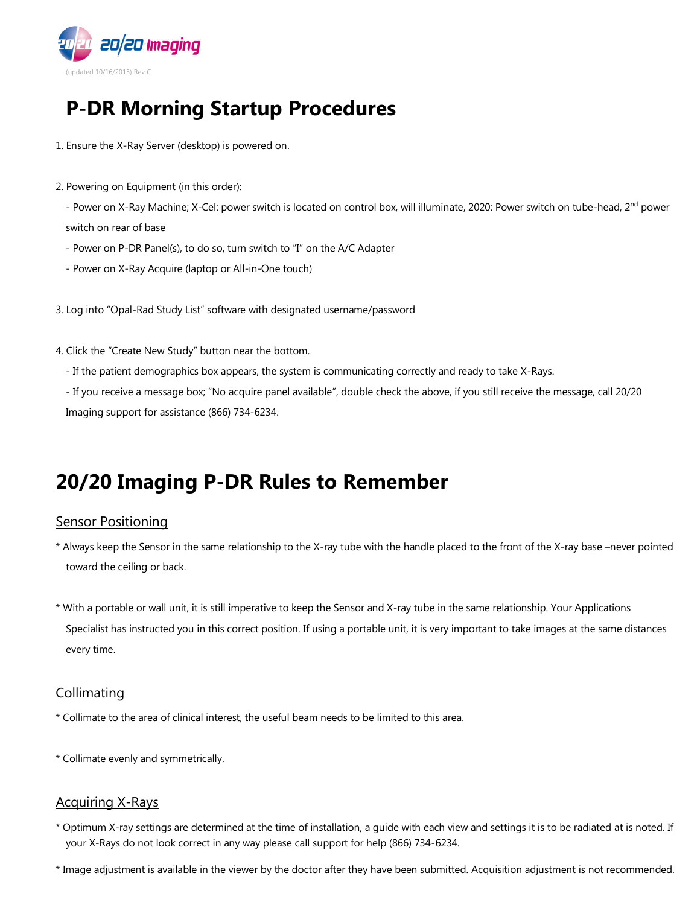

# **P-DR Morning Startup Procedures**

- 1. Ensure the X-Ray Server (desktop) is powered on.
- 2. Powering on Equipment (in this order):
	- Power on X-Ray Machine; X-Cel: power switch is located on control box, will illuminate, 2020: Power switch on tube-head, 2<sup>nd</sup> power switch on rear of base
	- Power on P-DR Panel(s), to do so, turn switch to "I" on the A/C Adapter
	- Power on X-Ray Acquire (laptop or All-in-One touch)
- 3. Log into "Opal-Rad Study List" software with designated username/password
- 4. Click the "Create New Study" button near the bottom.
	- If the patient demographics box appears, the system is communicating correctly and ready to take X-Rays.
	- If you receive a message box; "No acquire panel available", double check the above, if you still receive the message, call 20/20 Imaging support for assistance (866) 734-6234.

# **20/20 Imaging P-DR Rules to Remember**

#### **Sensor Positioning**

- \* Always keep the Sensor in the same relationship to the X-ray tube with the handle placed to the front of the X-ray base –never pointed toward the ceiling or back.
- \* With a portable or wall unit, it is still imperative to keep the Sensor and X-ray tube in the same relationship. Your Applications Specialist has instructed you in this correct position. If using a portable unit, it is very important to take images at the same distances every time.

## Collimating

- \* Collimate to the area of clinical interest, the useful beam needs to be limited to this area.
- \* Collimate evenly and symmetrically.

#### Acquiring X-Rays

- \* Optimum X-ray settings are determined at the time of installation, a guide with each view and settings it is to be radiated at is noted. If your X-Rays do not look correct in any way please call support for help (866) 734-6234.
- \* Image adjustment is available in the viewer by the doctor after they have been submitted. Acquisition adjustment is not recommended.